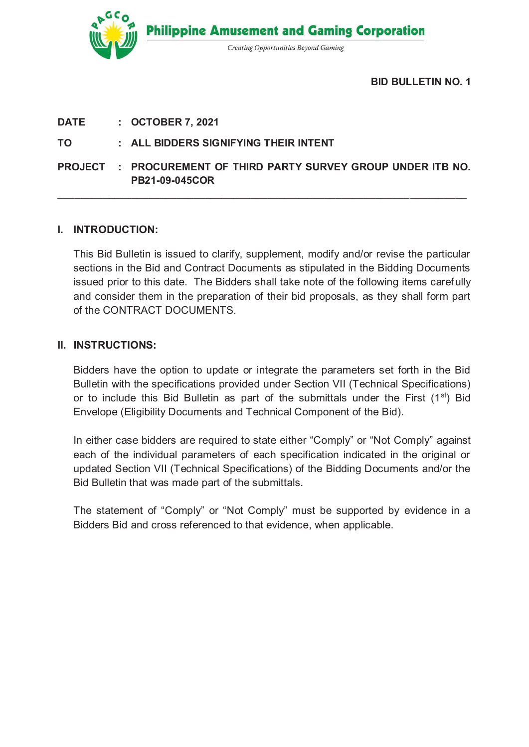**Philippine Amusement and Gaming Corporation Creating Opportunities Beyond Gaming** 

**BID BULLETIN NO. 1** 

**DATE : OCTOBER 7, 2021**

# **TO : ALL BIDDERS SIGNIFYING THEIR INTENT**

**PROJECT : PROCUREMENT OF THIRD PARTY SURVEY GROUP UNDER ITB NO. PB21-09-045COR**

**\_\_\_\_\_\_\_\_\_\_\_\_\_\_\_\_\_\_\_\_\_\_\_\_\_\_\_\_\_\_\_\_\_\_\_\_\_\_\_\_\_\_\_\_\_\_\_\_\_\_\_\_\_\_\_\_\_\_\_\_\_\_\_\_\_\_\_\_\_\_\_\_** 

# **I. INTRODUCTION:**

This Bid Bulletin is issued to clarify, supplement, modify and/or revise the particular sections in the Bid and Contract Documents as stipulated in the Bidding Documents issued prior to this date. The Bidders shall take note of the following items carefully and consider them in the preparation of their bid proposals, as they shall form part of the CONTRACT DOCUMENTS.

## **II. INSTRUCTIONS:**

Bidders have the option to update or integrate the parameters set forth in the Bid Bulletin with the specifications provided under Section VII (Technical Specifications) or to include this Bid Bulletin as part of the submittals under the First  $(1<sup>st</sup>)$  Bid Envelope (Eligibility Documents and Technical Component of the Bid).

In either case bidders are required to state either "Comply" or "Not Comply" against each of the individual parameters of each specification indicated in the original or updated Section VII (Technical Specifications) of the Bidding Documents and/or the Bid Bulletin that was made part of the submittals.

The statement of "Comply" or "Not Comply" must be supported by evidence in a Bidders Bid and cross referenced to that evidence, when applicable.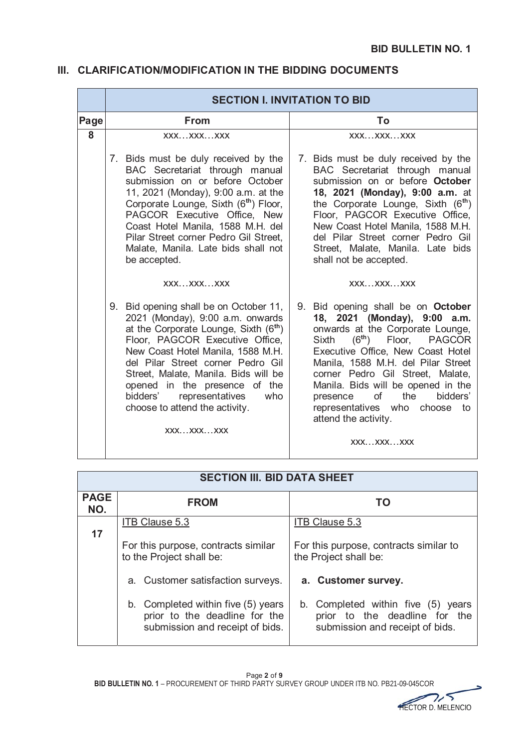# **III. CLARIFICATION/MODIFICATION IN THE BIDDING DOCUMENTS**

|      | <b>SECTION I. INVITATION TO BID</b>                                                                                                                                                                                                                                                                                                                                                                        |                                                                                                                                                                                                                                                                                                                                                                                                             |  |  |  |  |
|------|------------------------------------------------------------------------------------------------------------------------------------------------------------------------------------------------------------------------------------------------------------------------------------------------------------------------------------------------------------------------------------------------------------|-------------------------------------------------------------------------------------------------------------------------------------------------------------------------------------------------------------------------------------------------------------------------------------------------------------------------------------------------------------------------------------------------------------|--|--|--|--|
| Page | <b>From</b>                                                                                                                                                                                                                                                                                                                                                                                                | To                                                                                                                                                                                                                                                                                                                                                                                                          |  |  |  |  |
| 8    | XXXXXXXXX                                                                                                                                                                                                                                                                                                                                                                                                  | XXXXXXXXX                                                                                                                                                                                                                                                                                                                                                                                                   |  |  |  |  |
|      | 7. Bids must be duly received by the<br>BAC Secretariat through manual<br>submission on or before October<br>11, 2021 (Monday), 9:00 a.m. at the<br>Corporate Lounge, Sixth (6 <sup>th</sup> ) Floor,<br>PAGCOR Executive Office, New<br>Coast Hotel Manila, 1588 M.H. del<br>Pilar Street corner Pedro Gil Street,<br>Malate, Manila. Late bids shall not<br>be accepted.                                 | 7. Bids must be duly received by the<br>BAC Secretariat through manual<br>submission on or before October<br>18, 2021 (Monday), 9:00 a.m. at<br>the Corporate Lounge, Sixth (6 <sup>th</sup> )<br>Floor, PAGCOR Executive Office,<br>New Coast Hotel Manila, 1588 M.H.<br>del Pilar Street corner Pedro Gil<br>Street, Malate, Manila. Late bids<br>shall not be accepted.                                  |  |  |  |  |
|      | XXXXXXXXX                                                                                                                                                                                                                                                                                                                                                                                                  | XXXXXXXXX                                                                                                                                                                                                                                                                                                                                                                                                   |  |  |  |  |
|      | 9. Bid opening shall be on October 11,<br>2021 (Monday), 9:00 a.m. onwards<br>at the Corporate Lounge, Sixth (6 <sup>th</sup> )<br>Floor, PAGCOR Executive Office,<br>New Coast Hotel Manila, 1588 M.H.<br>del Pilar Street corner Pedro Gil<br>Street, Malate, Manila. Bids will be<br>opened in the presence of the<br>representatives<br>bidders'<br>who<br>choose to attend the activity.<br>XXXXXXXXX | 9. Bid opening shall be on October<br>18, 2021 (Monday), 9:00 a.m.<br>onwards at the Corporate Lounge,<br>$(6th)$ Floor, PAGCOR<br>Sixth<br>Executive Office, New Coast Hotel<br>Manila, 1588 M.H. del Pilar Street<br>corner Pedro Gil Street, Malate,<br>Manila. Bids will be opened in the<br>of<br>bidders'<br>the<br>presence<br>representatives who<br>choose to<br>attend the activity.<br>XXXXXXXXX |  |  |  |  |

| <b>SECTION III. BID DATA SHEET</b> |                                                                                                        |                                                                                                        |  |  |  |  |
|------------------------------------|--------------------------------------------------------------------------------------------------------|--------------------------------------------------------------------------------------------------------|--|--|--|--|
| <b>PAGE</b><br>NO.                 | <b>FROM</b>                                                                                            | TO                                                                                                     |  |  |  |  |
| 17                                 | <b>ITB Clause 5.3</b>                                                                                  | <b>ITB Clause 5.3</b>                                                                                  |  |  |  |  |
|                                    | For this purpose, contracts similar<br>to the Project shall be:                                        | For this purpose, contracts similar to<br>the Project shall be:                                        |  |  |  |  |
|                                    | a. Customer satisfaction surveys.                                                                      | a. Customer survey.                                                                                    |  |  |  |  |
|                                    | b. Completed within five (5) years<br>prior to the deadline for the<br>submission and receipt of bids. | b. Completed within five (5) years<br>prior to the deadline for the<br>submission and receipt of bids. |  |  |  |  |

۵ HECTOR D. MELENCIO HECTOR D MELENCIO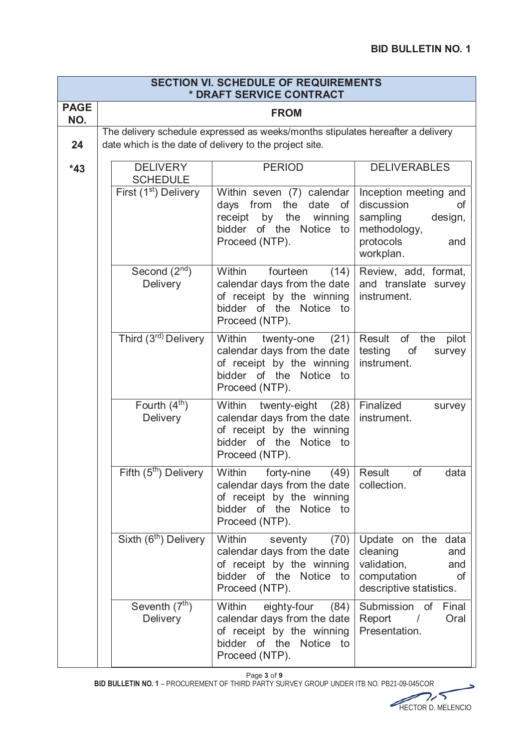| <b>SECTION VI. SCHEDULE OF REQUIREMENTS</b><br>* DRAFT SERVICE CONTRACT |                                                                                                                                            |                                                                                                                                         |                                                                                                                          |  |  |  |  |  |
|-------------------------------------------------------------------------|--------------------------------------------------------------------------------------------------------------------------------------------|-----------------------------------------------------------------------------------------------------------------------------------------|--------------------------------------------------------------------------------------------------------------------------|--|--|--|--|--|
| <b>PAGE</b><br>NO.                                                      | <b>FROM</b>                                                                                                                                |                                                                                                                                         |                                                                                                                          |  |  |  |  |  |
| 24                                                                      | The delivery schedule expressed as weeks/months stipulates hereafter a delivery<br>date which is the date of delivery to the project site. |                                                                                                                                         |                                                                                                                          |  |  |  |  |  |
| $*43$                                                                   | <b>DELIVERY</b><br><b>SCHEDULE</b>                                                                                                         | <b>DELIVERABLES</b>                                                                                                                     |                                                                                                                          |  |  |  |  |  |
|                                                                         | First (1 <sup>st</sup> ) Delivery                                                                                                          | Within seven (7) calendar<br>from the<br>days<br>date<br>of<br>receipt by the winning<br>bidder of the Notice to<br>Proceed (NTP).      | Inception meeting and<br>discussion<br><b>of</b><br>sampling<br>design,<br>methodology,<br>protocols<br>and<br>workplan. |  |  |  |  |  |
|                                                                         | Second $(2nd)$<br>Delivery                                                                                                                 | Within<br>fourteen<br>(14)<br>calendar days from the date<br>of receipt by the winning<br>bidder of the Notice to<br>Proceed (NTP).     | Review, add, format,<br>and translate survey<br>instrument.                                                              |  |  |  |  |  |
|                                                                         | Third (3 <sup>rd)</sup> Delivery                                                                                                           | Within<br>twenty-one<br>(21)<br>calendar days from the date<br>of receipt by the winning<br>bidder of the Notice to<br>Proceed (NTP).   | Result<br>of the<br>pilot<br>testing<br>of<br>survey<br>instrument.                                                      |  |  |  |  |  |
|                                                                         | Fourth $(4th)$<br>Delivery                                                                                                                 | Within<br>twenty-eight<br>(28)<br>calendar days from the date<br>of receipt by the winning<br>bidder of the Notice to<br>Proceed (NTP). | Finalized<br>survey<br>instrument.                                                                                       |  |  |  |  |  |
|                                                                         | Fifth (5 <sup>th</sup> ) Delivery                                                                                                          | Within forty-nine (49)<br>calendar days from the date<br>of receipt by the winning<br>bidder of the Notice to<br>Proceed (NTP).         | Result<br>οf<br>data<br>collection.                                                                                      |  |  |  |  |  |
|                                                                         | Sixth (6 <sup>th</sup> ) Delivery                                                                                                          | Within<br>seventy<br>(70)<br>calendar days from the date<br>of receipt by the winning<br>bidder of the Notice to<br>Proceed (NTP).      | Update on the<br>data<br>cleaning<br>and<br>validation,<br>and<br>computation<br>οf<br>descriptive statistics.           |  |  |  |  |  |
|                                                                         | Seventh (7 <sup>th</sup> )<br><b>Delivery</b>                                                                                              | Within<br>eighty-four<br>(84)<br>calendar days from the date<br>of receipt by the winning<br>bidder of the Notice to<br>Proceed (NTP).  | Submission of Final<br>Report<br>Oral<br>$\sqrt{ }$<br>Presentation.                                                     |  |  |  |  |  |

Page **3** of **9**

BID BULLETIN NO. 1 - PROCUREMENT OF THIRD PARTY SURVEY GROUP UNDER ITB NO. PB21-09-045COR



د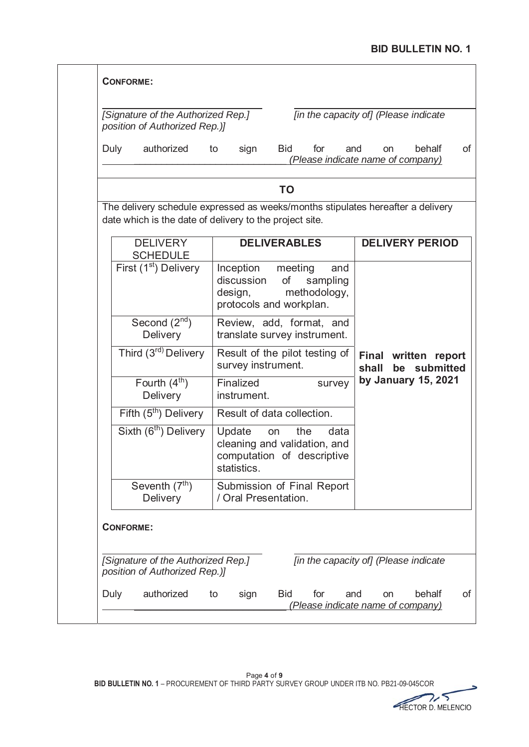|                  | position of Authorized Rep.)]                                                                                                              |                                                                                     |                     |                                 |       |                                                          |
|------------------|--------------------------------------------------------------------------------------------------------------------------------------------|-------------------------------------------------------------------------------------|---------------------|---------------------------------|-------|----------------------------------------------------------|
| Duly             | authorized                                                                                                                                 | sign<br>to                                                                          | <b>Bid</b>          | for                             | and   | behalf<br><b>on</b><br>(Please indicate name of company) |
|                  |                                                                                                                                            |                                                                                     | TO                  |                                 |       |                                                          |
|                  | The delivery schedule expressed as weeks/months stipulates hereafter a delivery<br>date which is the date of delivery to the project site. |                                                                                     |                     |                                 |       |                                                          |
|                  | <b>DELIVERY</b>                                                                                                                            |                                                                                     | <b>DELIVERABLES</b> |                                 |       | <b>DELIVERY PERIOD</b>                                   |
|                  | <b>SCHEDULE</b><br>First (1 <sup>st</sup> ) Delivery                                                                                       | Inception<br>discussion<br>design,<br>protocols and workplan.                       | meeting<br>of       | and<br>sampling<br>methodology, |       |                                                          |
|                  | Second $(2nd)$<br><b>Delivery</b>                                                                                                          | Review, add, format, and<br>translate survey instrument.                            |                     |                                 |       |                                                          |
|                  | Third (3 <sup>rd)</sup> Delivery                                                                                                           | Result of the pilot testing of<br>survey instrument.                                |                     |                                 | shall | Final written report<br>be submitted                     |
|                  | Fourth $(4th)$<br>Delivery                                                                                                                 | Finalized<br>instrument.                                                            |                     | survey                          |       | by January 15, 2021                                      |
|                  | Fifth $(5th)$ Delivery                                                                                                                     | Result of data collection.                                                          |                     |                                 |       |                                                          |
|                  | Sixth (6 <sup>th</sup> ) Delivery                                                                                                          | Update<br>cleaning and validation, and<br>computation of descriptive<br>statistics. | on                  | the<br>data                     |       |                                                          |
|                  | Seventh $(7th)$<br>Delivery                                                                                                                | Submission of Final Report<br>/ Oral Presentation.                                  |                     |                                 |       |                                                          |
| <b>CONFORME:</b> |                                                                                                                                            |                                                                                     |                     |                                 |       |                                                          |
|                  |                                                                                                                                            |                                                                                     |                     |                                 |       |                                                          |

د HECTOR D. MELENCIO HECTOR D MELENCIO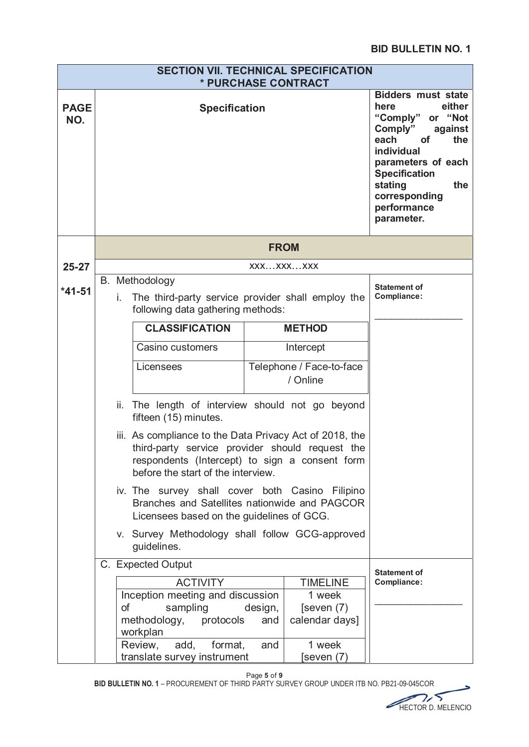|                    |                                                                                                                                               | <b>SECTION VII. TECHNICAL SPECIFICATION</b><br>* PURCHASE CONTRACT                                                                                                                                 |                |                                                                                                                                                                                                                                           |                                    |
|--------------------|-----------------------------------------------------------------------------------------------------------------------------------------------|----------------------------------------------------------------------------------------------------------------------------------------------------------------------------------------------------|----------------|-------------------------------------------------------------------------------------------------------------------------------------------------------------------------------------------------------------------------------------------|------------------------------------|
| <b>PAGE</b><br>NO. | <b>Specification</b>                                                                                                                          |                                                                                                                                                                                                    |                | <b>Bidders must state</b><br>either<br>here<br>"Comply"<br>or "Not<br>Comply"<br>against<br>each<br>οf<br>the<br>individual<br>parameters of each<br><b>Specification</b><br>stating<br>the<br>corresponding<br>performance<br>parameter. |                                    |
|                    |                                                                                                                                               |                                                                                                                                                                                                    | <b>FROM</b>    |                                                                                                                                                                                                                                           |                                    |
| $25 - 27$          |                                                                                                                                               |                                                                                                                                                                                                    | XXXXXXXXX      |                                                                                                                                                                                                                                           |                                    |
| $*41-51$           | B. Methodology<br>The third-party service provider shall employ the<br>i.<br>following data gathering methods:                                |                                                                                                                                                                                                    |                |                                                                                                                                                                                                                                           | <b>Statement of</b><br>Compliance: |
|                    |                                                                                                                                               | <b>CLASSIFICATION</b>                                                                                                                                                                              |                | <b>METHOD</b>                                                                                                                                                                                                                             |                                    |
|                    |                                                                                                                                               | Casino customers                                                                                                                                                                                   |                | Intercept                                                                                                                                                                                                                                 |                                    |
|                    | Telephone / Face-to-face<br>Licensees<br>/ Online                                                                                             |                                                                                                                                                                                                    |                |                                                                                                                                                                                                                                           |                                    |
|                    | ii. The length of interview should not go beyond<br>fifteen (15) minutes.                                                                     |                                                                                                                                                                                                    |                |                                                                                                                                                                                                                                           |                                    |
|                    |                                                                                                                                               | iii. As compliance to the Data Privacy Act of 2018, the<br>third-party service provider should request the<br>respondents (Intercept) to sign a consent form<br>before the start of the interview. |                |                                                                                                                                                                                                                                           |                                    |
|                    | iv. The survey shall cover both Casino Filipino<br>Branches and Satellites nationwide and PAGCOR<br>Licensees based on the guidelines of GCG. |                                                                                                                                                                                                    |                |                                                                                                                                                                                                                                           |                                    |
|                    |                                                                                                                                               | v. Survey Methodology shall follow GCG-approved<br>guidelines.                                                                                                                                     |                |                                                                                                                                                                                                                                           |                                    |
|                    |                                                                                                                                               | C. Expected Output                                                                                                                                                                                 |                |                                                                                                                                                                                                                                           | <b>Statement of</b>                |
|                    |                                                                                                                                               | <b>ACTIVITY</b>                                                                                                                                                                                    |                | <b>TIMELINE</b>                                                                                                                                                                                                                           | Compliance:                        |
|                    | οf                                                                                                                                            | Inception meeting and discussion<br>sampling<br>protocols<br>methodology,                                                                                                                          | design,<br>and | 1 week<br>[seven (7)]<br>calendar days]                                                                                                                                                                                                   |                                    |
|                    |                                                                                                                                               | workplan<br>add,<br>format,<br>Review,<br>translate survey instrument                                                                                                                              |                |                                                                                                                                                                                                                                           |                                    |

Page **5** of **9**

BID BULLETIN NO. 1 - PROCUREMENT OF THIRD PARTY SURVEY GROUP UNDER ITB NO. PB21-09-045COR

HECTOR D. MELENCIO HECTOR D MELENCIO

5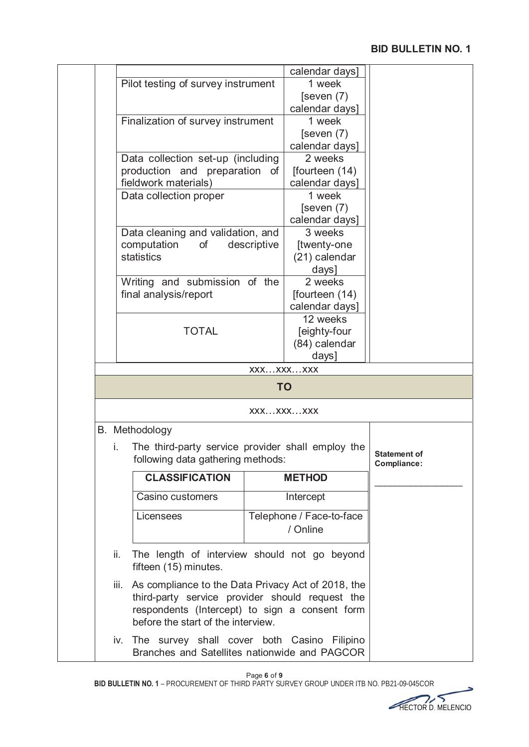|      |                                                                       |             | calendar days]<br>1 week |                                    |
|------|-----------------------------------------------------------------------|-------------|--------------------------|------------------------------------|
|      | Pilot testing of survey instrument                                    |             | [seven $(7)$             |                                    |
|      |                                                                       |             | calendar days]           |                                    |
|      | Finalization of survey instrument                                     |             | 1 week                   |                                    |
|      |                                                                       |             | [seven $(7)$             |                                    |
|      |                                                                       |             | calendar days]           |                                    |
|      | Data collection set-up (including                                     |             | 2 weeks                  |                                    |
|      | production and preparation of                                         |             | [fourteen (14)           |                                    |
|      | fieldwork materials)                                                  |             | calendar days]           |                                    |
|      | Data collection proper                                                |             | 1 week                   |                                    |
|      |                                                                       |             | [seven $(7)$             |                                    |
|      |                                                                       |             | calendar days]           |                                    |
|      | Data cleaning and validation, and                                     |             | 3 weeks                  |                                    |
|      | computation<br>οf                                                     | descriptive | [twenty-one              |                                    |
|      | statistics                                                            |             | (21) calendar            |                                    |
|      |                                                                       |             | days]<br>2 weeks         |                                    |
|      | Writing and submission of the<br>final analysis/report                |             | [fourteen (14)           |                                    |
|      |                                                                       |             | calendar days]           |                                    |
|      |                                                                       |             | 12 weeks                 |                                    |
|      | <b>TOTAL</b>                                                          |             | [eighty-four             |                                    |
|      |                                                                       |             | (84) calendar            |                                    |
|      |                                                                       |             | days]                    |                                    |
|      |                                                                       | XXXXXXXXX   |                          |                                    |
|      |                                                                       | <b>TO</b>   |                          |                                    |
|      |                                                                       | XXXXXXXXX   |                          |                                    |
|      | B. Methodology                                                        |             |                          |                                    |
| İ.   | The third-party service provider shall employ the                     |             |                          |                                    |
|      | following data gathering methods:                                     |             |                          | <b>Statement of</b><br>Compliance: |
|      | <b>CLASSIFICATION</b>                                                 |             | <b>METHOD</b>            |                                    |
|      | Casino customers                                                      |             | Intercept                |                                    |
|      |                                                                       |             |                          |                                    |
|      | Licensees                                                             |             | Telephone / Face-to-face |                                    |
|      |                                                                       |             | / Online                 |                                    |
|      |                                                                       |             |                          |                                    |
| ii.  | The length of interview should not go beyond<br>fifteen (15) minutes. |             |                          |                                    |
| iii. | As compliance to the Data Privacy Act of 2018, the                    |             |                          |                                    |
|      | third-party service provider should request the                       |             |                          |                                    |
|      | respondents (Intercept) to sign a consent form                        |             |                          |                                    |
|      | before the start of the interview.                                    |             |                          |                                    |
|      | iv. The survey shall cover both Casino Filipino                       |             |                          |                                    |
|      | Branches and Satellites nationwide and PAGCOR                         |             |                          |                                    |

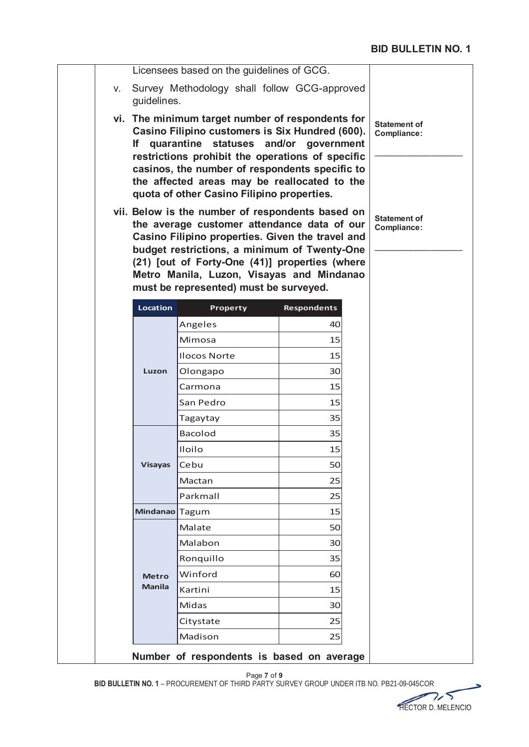| V.             | Licensees based on the guidelines of GCG.<br>Survey Methodology shall follow GCG-approved                                                                                                                                                                                                                                                    |                    |                                    |
|----------------|----------------------------------------------------------------------------------------------------------------------------------------------------------------------------------------------------------------------------------------------------------------------------------------------------------------------------------------------|--------------------|------------------------------------|
| guidelines.    |                                                                                                                                                                                                                                                                                                                                              |                    |                                    |
| lf.            | vi. The minimum target number of respondents for<br>Casino Filipino customers is Six Hundred (600).<br>quarantine statuses and/or<br>restrictions prohibit the operations of specific<br>casinos, the number of respondents specific to<br>the affected areas may be reallocated to the<br>quota of other Casino Filipino properties.        | government         | <b>Statement of</b><br>Compliance: |
|                | vii. Below is the number of respondents based on<br>the average customer attendance data of our<br>Casino Filipino properties. Given the travel and<br>budget restrictions, a minimum of Twenty-One<br>(21) [out of Forty-One (41)] properties (where<br>Metro Manila, Luzon, Visayas and Mindanao<br>must be represented) must be surveyed. |                    | <b>Statement of</b><br>Compliance: |
| Location       | Property                                                                                                                                                                                                                                                                                                                                     | <b>Respondents</b> |                                    |
|                | Angeles                                                                                                                                                                                                                                                                                                                                      | 40                 |                                    |
|                | Mimosa                                                                                                                                                                                                                                                                                                                                       | 15                 |                                    |
|                | <b>Ilocos Norte</b>                                                                                                                                                                                                                                                                                                                          | 15                 |                                    |
| Luzon          | Olongapo                                                                                                                                                                                                                                                                                                                                     | 30                 |                                    |
|                | Carmona                                                                                                                                                                                                                                                                                                                                      | 15                 |                                    |
|                | San Pedro                                                                                                                                                                                                                                                                                                                                    | 15                 |                                    |
|                | Tagaytay                                                                                                                                                                                                                                                                                                                                     | 35                 |                                    |
|                | <b>Bacolod</b>                                                                                                                                                                                                                                                                                                                               | 35                 |                                    |
|                |                                                                                                                                                                                                                                                                                                                                              |                    |                                    |
|                | Iloilo                                                                                                                                                                                                                                                                                                                                       | 15                 |                                    |
| <b>Visayas</b> | Cebu                                                                                                                                                                                                                                                                                                                                         | 50                 |                                    |
|                | Mactan                                                                                                                                                                                                                                                                                                                                       | 25                 |                                    |
|                | Parkmall                                                                                                                                                                                                                                                                                                                                     | 25                 |                                    |
| Mindanao Tagum |                                                                                                                                                                                                                                                                                                                                              | 15                 |                                    |
|                | Malate                                                                                                                                                                                                                                                                                                                                       | 50                 |                                    |
|                | Malabon                                                                                                                                                                                                                                                                                                                                      | 30                 |                                    |
|                | Ronquillo                                                                                                                                                                                                                                                                                                                                    | 35                 |                                    |
| <b>Metro</b>   | Winford                                                                                                                                                                                                                                                                                                                                      | 60                 |                                    |
| <b>Manila</b>  | Kartini                                                                                                                                                                                                                                                                                                                                      | 15                 |                                    |
|                | Midas                                                                                                                                                                                                                                                                                                                                        | 30                 |                                    |
|                | Citystate                                                                                                                                                                                                                                                                                                                                    | 25                 |                                    |

BID BULLETIN NO. 1 - PROCUREMENT OF THIRD PARTY SURVEY GROUP UNDER ITB NO. PB21-09-045COR

 $\rightarrow$ HECTOR D. MELENCIO D MELENCIO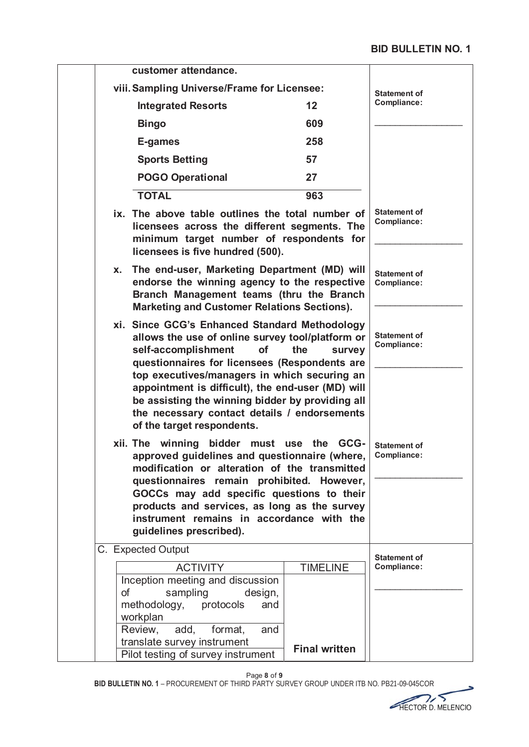| customer attendance.                                                                                                                                                                                                                                                                                                                                                                                                   |                      |                                    |
|------------------------------------------------------------------------------------------------------------------------------------------------------------------------------------------------------------------------------------------------------------------------------------------------------------------------------------------------------------------------------------------------------------------------|----------------------|------------------------------------|
| viii. Sampling Universe/Frame for Licensee:                                                                                                                                                                                                                                                                                                                                                                            | <b>Statement of</b>  |                                    |
| <b>Integrated Resorts</b>                                                                                                                                                                                                                                                                                                                                                                                              | 12                   | Compliance:                        |
| <b>Bingo</b>                                                                                                                                                                                                                                                                                                                                                                                                           | 609                  |                                    |
| E-games                                                                                                                                                                                                                                                                                                                                                                                                                | 258                  |                                    |
| <b>Sports Betting</b>                                                                                                                                                                                                                                                                                                                                                                                                  | 57                   |                                    |
| <b>POGO Operational</b>                                                                                                                                                                                                                                                                                                                                                                                                | 27                   |                                    |
| <b>TOTAL</b>                                                                                                                                                                                                                                                                                                                                                                                                           | 963                  |                                    |
| ix. The above table outlines the total number of<br>licensees across the different segments. The<br>minimum target number of respondents for<br>licensees is five hundred (500).                                                                                                                                                                                                                                       |                      | <b>Statement of</b><br>Compliance: |
| The end-user, Marketing Department (MD) will<br>Х.<br>endorse the winning agency to the respective<br>Branch Management teams (thru the Branch<br><b>Marketing and Customer Relations Sections).</b>                                                                                                                                                                                                                   |                      | <b>Statement of</b><br>Compliance: |
| xi. Since GCG's Enhanced Standard Methodology<br>allows the use of online survey tool/platform or<br>self-accomplishment<br>of<br>questionnaires for licensees (Respondents are<br>top executives/managers in which securing an<br>appointment is difficult), the end-user (MD) will<br>be assisting the winning bidder by providing all<br>the necessary contact details / endorsements<br>of the target respondents. | the<br>survey        | <b>Statement of</b><br>Compliance: |
| xii. The winning bidder<br>must<br>approved guidelines and questionnaire (where,<br>modification or alteration of the transmitted<br>questionnaires remain prohibited. However,<br>GOCCs may add specific questions to their<br>products and services, as long as the survey<br>instrument remains in accordance with the<br>guidelines prescribed).                                                                   | use the<br>GCG-      | <b>Statement of</b><br>Compliance: |
| C. Expected Output                                                                                                                                                                                                                                                                                                                                                                                                     |                      | <b>Statement of</b>                |
| <b>ACTIVITY</b>                                                                                                                                                                                                                                                                                                                                                                                                        | <b>TIMELINE</b>      | Compliance:                        |
| Inception meeting and discussion<br>of<br>sampling<br>design,                                                                                                                                                                                                                                                                                                                                                          |                      |                                    |
| methodology, protocols<br>and                                                                                                                                                                                                                                                                                                                                                                                          |                      |                                    |
| workplan<br>add, format,<br>Review,<br>and                                                                                                                                                                                                                                                                                                                                                                             |                      |                                    |
| translate survey instrument                                                                                                                                                                                                                                                                                                                                                                                            |                      |                                    |
| Pilot testing of survey instrument                                                                                                                                                                                                                                                                                                                                                                                     | <b>Final written</b> |                                    |

Page **8** of **9**

BID BULLETIN NO. 1 - PROCUREMENT OF THIRD PARTY SURVEY GROUP UNDER ITB NO. PB21-09-045COR



5